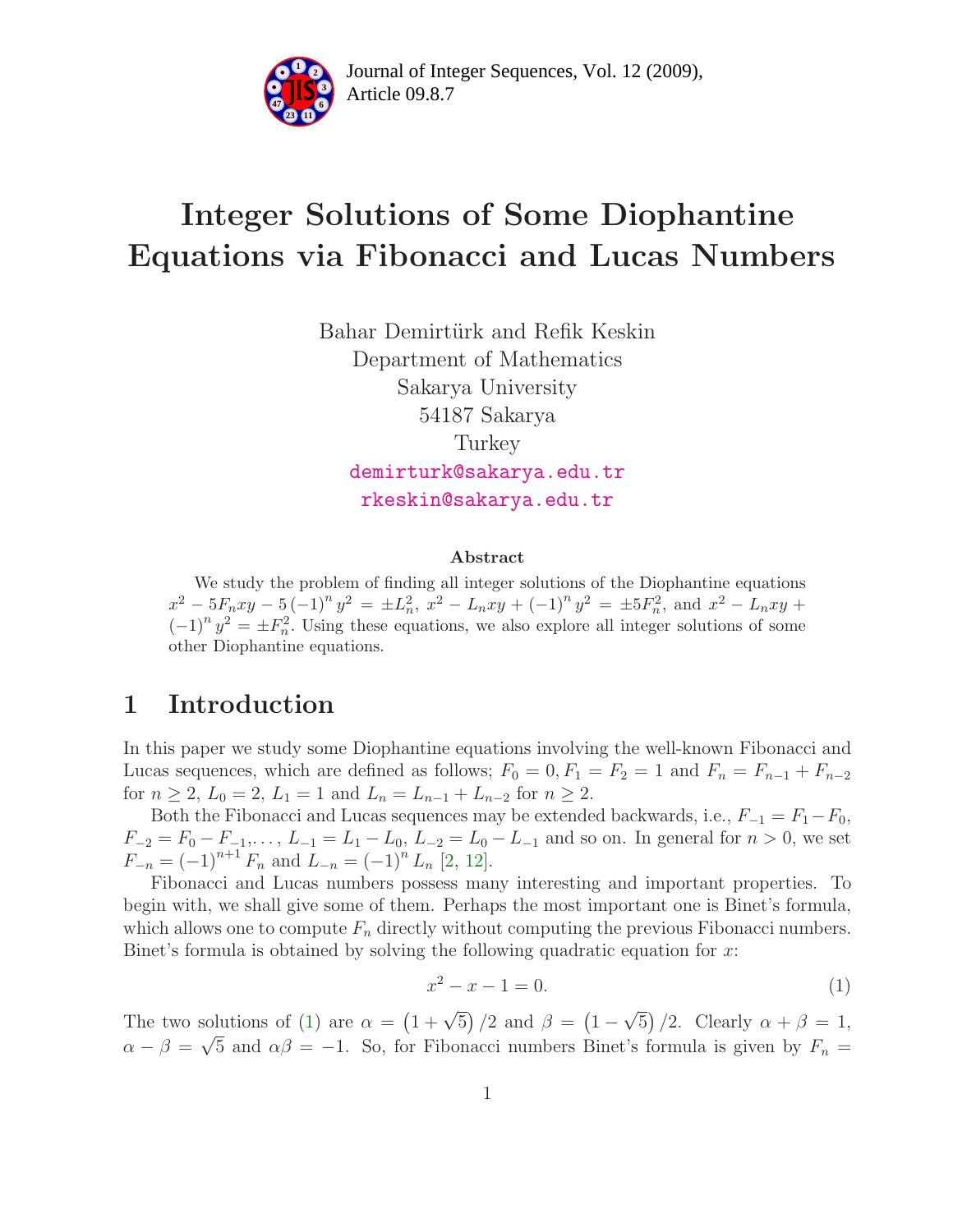

# Integer Solutions of Some Diophantine Equations via Fibonacci and Lucas Numbers

Bahar Demirtürk and Refik Keskin Department of Mathematics Sakarya University 54187 Sakarya Turkey [demirturk@sakarya.edu.tr](mailto:demirturk@sakarya.edu.tr) [rkeskin@sakarya.edu.tr](mailto:rkeskin@sakarya.edu.tr)

#### Abstract

We study the problem of finding all integer solutions of the Diophantine equations  $x^2 - 5F_nxy - 5(-1)^n y^2 = \pm L_n^2$ ,  $x^2 - L_nxy + (-1)^n y^2 = \pm 5F_n^2$ , and  $x^2 - L_nxy +$  $(-1)^n y^2 = \pm F_n^2$ . Using these equations, we also explore all integer solutions of some other Diophantine equations.

#### 1 Introduction

In this paper we study some Diophantine equations involving the well-known Fibonacci and Lucas sequences, which are defined as follows;  $F_0 = 0, F_1 = F_2 = 1$  and  $F_n = F_{n-1} + F_{n-2}$ for  $n \ge 2$ ,  $L_0 = 2$ ,  $L_1 = 1$  and  $L_n = L_{n-1} + L_{n-2}$  for  $n \ge 2$ .

Both the Fibonacci and Lucas sequences may be extended backwards, i.e.,  $F_{-1} = F_1 - F_0$ ,  $F_{-2} = F_0 - F_{-1}, \ldots, L_{-1} = L_1 - L_0, L_{-2} = L_0 - L_{-1}$  and so on. In general for  $n > 0$ , we set  $F_{-n} = (-1)^{n+1} F_n$  and  $L_{-n} = (-1)^n L_n$  [\[2,](#page-12-0) [12\]](#page-12-1).

Fibonacci and Lucas numbers possess many interesting and important properties. To begin with, we shall give some of them. Perhaps the most important one is Binet's formula, which allows one to compute  $F_n$  directly without computing the previous Fibonacci numbers. Binet's formula is obtained by solving the following quadratic equation for x:

<span id="page-0-0"></span>
$$
x^2 - x - 1 = 0.\t\t(1)
$$

The two solutions of [\(1\)](#page-0-0) are  $\alpha = (1 + \sqrt{5})/2$  and  $\beta = (1 - \sqrt{5})/2$ . Clearly  $\alpha + \beta = 1$ ,  $\alpha - \beta = \sqrt{5}$  and  $\alpha\beta = -1$ . So, for Fibonacci numbers Binet's formula is given by  $F_n =$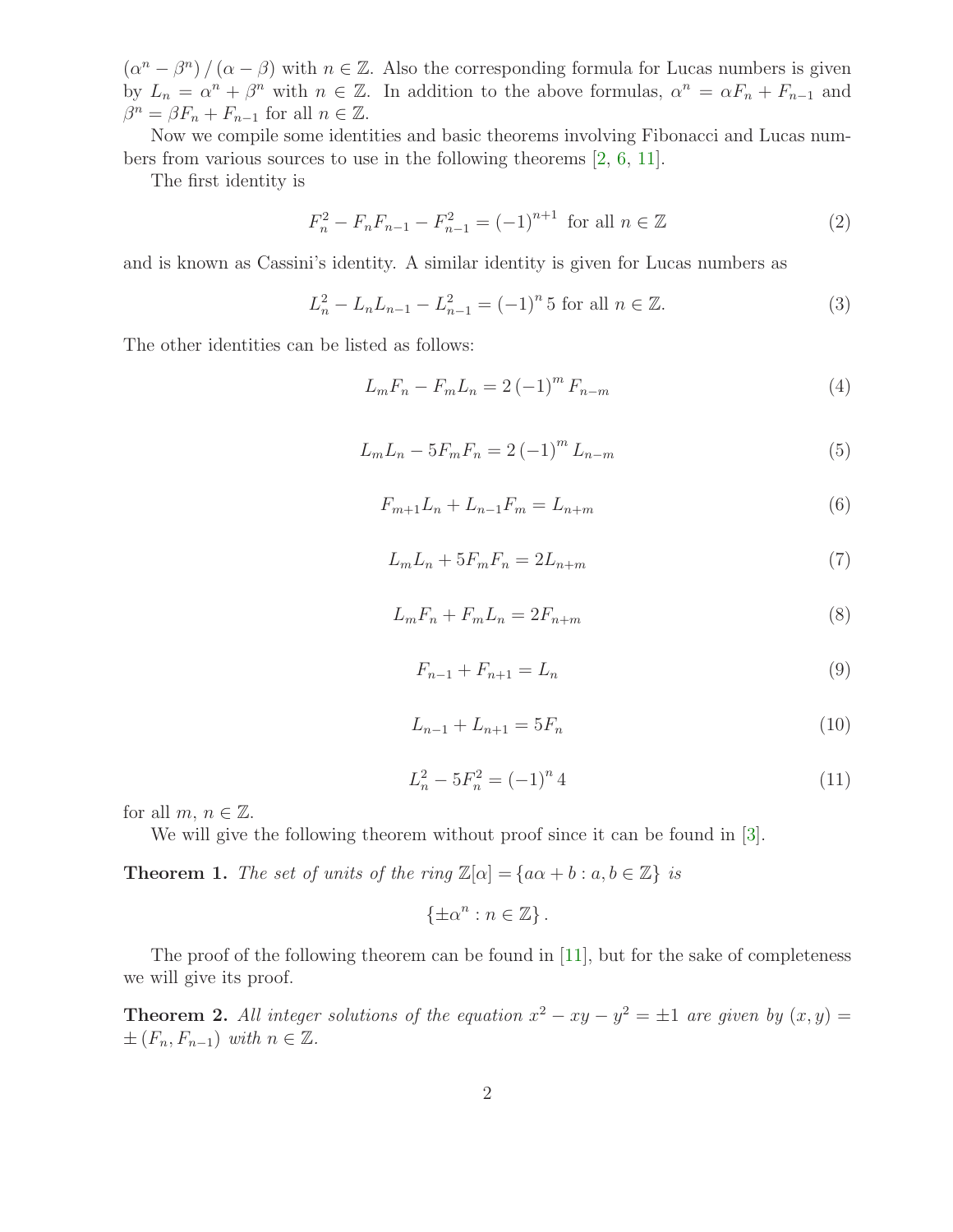$(\alpha^n - \beta^n) / (\alpha - \beta)$  with  $n \in \mathbb{Z}$ . Also the corresponding formula for Lucas numbers is given by  $L_n = \alpha^n + \beta^n$  with  $n \in \mathbb{Z}$ . In addition to the above formulas,  $\alpha^n = \alpha F_n + F_{n-1}$  and  $\beta^{n} = \beta F_{n} + F_{n-1}$  for all  $n \in \mathbb{Z}$ .

Now we compile some identities and basic theorems involving Fibonacci and Lucas numbers from various sources to use in the following theorems [\[2,](#page-12-0) [6,](#page-12-2) [11\]](#page-12-3).

<span id="page-1-0"></span>The first identity is

$$
F_n^2 - F_n F_{n-1} - F_{n-1}^2 = (-1)^{n+1} \text{ for all } n \in \mathbb{Z}
$$
 (2)

and is known as Cassini's identity. A similar identity is given for Lucas numbers as

<span id="page-1-6"></span>
$$
L_n^2 - L_n L_{n-1} - L_{n-1}^2 = (-1)^n 5 \text{ for all } n \in \mathbb{Z}.
$$
 (3)

<span id="page-1-8"></span><span id="page-1-5"></span><span id="page-1-4"></span><span id="page-1-3"></span>The other identities can be listed as follows:

<span id="page-1-7"></span>
$$
L_m F_n - F_m L_n = 2 (-1)^m F_{n-m}
$$
\n(4)

$$
L_m L_n - 5F_m F_n = 2(-1)^m L_{n-m}
$$
\n(5)

$$
F_{m+1}L_n + L_{n-1}F_m = L_{n+m}
$$
\n(6)

$$
L_m L_n + 5F_m F_n = 2L_{n+m} \tag{7}
$$

$$
L_m F_n + F_m L_n = 2F_{n+m} \tag{8}
$$

$$
F_{n-1} + F_{n+1} = L_n \tag{9}
$$

$$
L_{n-1} + L_{n+1} = 5F_n \tag{10}
$$

$$
L_n^2 - 5F_n^2 = (-1)^n 4\tag{11}
$$

<span id="page-1-10"></span><span id="page-1-9"></span><span id="page-1-2"></span><span id="page-1-1"></span>for all  $m, n \in \mathbb{Z}$ .

We will give the following theorem without proof since it can be found in [\[3\]](#page-12-4).

**Theorem 1.** The set of units of the ring  $\mathbb{Z}[\alpha] = \{a\alpha + b : a, b \in \mathbb{Z}\}\$ is

 $\{\pm \alpha^n : n \in \mathbb{Z}\}.$ 

The proof of the following theorem can be found in  $[11]$ , but for the sake of completeness we will give its proof.

**Theorem 2.** All integer solutions of the equation  $x^2 - xy - y^2 = \pm 1$  are given by  $(x, y) =$  $\pm (F_n, F_{n-1})$  with  $n \in \mathbb{Z}$ .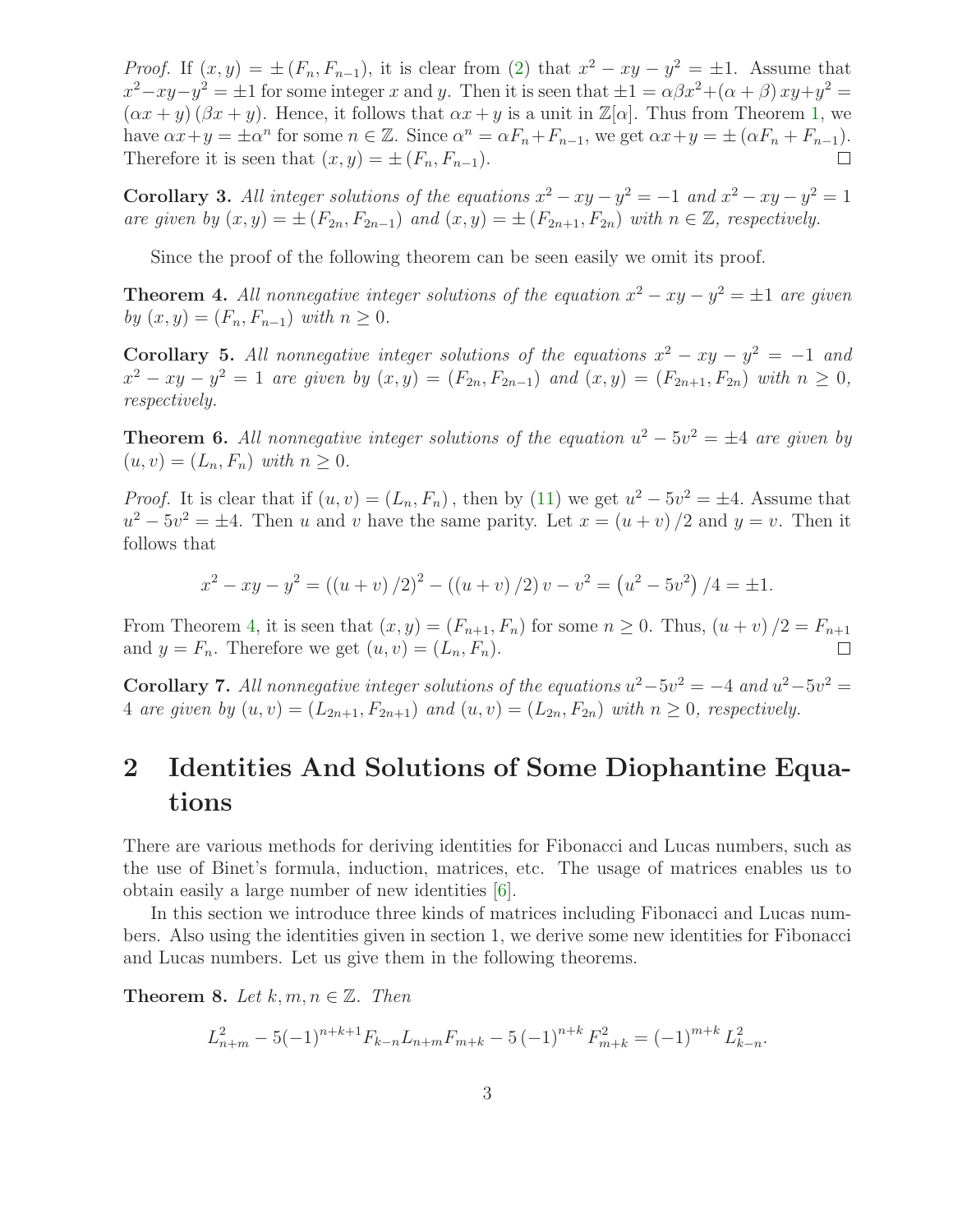*Proof.* If  $(x, y) = \pm (F_n, F_{n-1})$ , it is clear from [\(2\)](#page-1-0) that  $x^2 - xy - y^2 = \pm 1$ . Assume that  $x^2 - xy - y^2 = \pm 1$  for some integer x and y. Then it is seen that  $\pm 1 = \alpha \beta x^2 + (\alpha + \beta) xy + y^2 =$  $(\alpha x + y)(\beta x + y)$ . Hence, it follows that  $\alpha x + y$  is a unit in  $\mathbb{Z}[\alpha]$ . Thus from Theorem [1,](#page-1-1) we have  $\alpha x + y = \pm \alpha^n$  for some  $n \in \mathbb{Z}$ . Since  $\alpha^n = \alpha F_n + F_{n-1}$ , we get  $\alpha x + y = \pm (\alpha F_n + F_{n-1})$ . Therefore it is seen that  $(x, y) = \pm (F_n, F_{n-1}).$ 

<span id="page-2-2"></span>**Corollary 3.** All integer solutions of the equations  $x^2 - xy - y^2 = -1$  and  $x^2 - xy - y^2 = 1$ are given by  $(x, y) = \pm (F_{2n}, F_{2n-1})$  and  $(x, y) = \pm (F_{2n+1}, F_{2n})$  with  $n \in \mathbb{Z}$ , respectively.

Since the proof of the following theorem can be seen easily we omit its proof.

<span id="page-2-0"></span>**Theorem 4.** All nonnegative integer solutions of the equation  $x^2 - xy - y^2 = \pm 1$  are given by  $(x, y) = (F_n, F_{n-1})$  with  $n \geq 0$ .

Corollary 5. All nonnegative integer solutions of the equations  $x^2 - xy - y^2 = -1$  and  $x^2 - xy - y^2 = 1$  are given by  $(x, y) = (F_{2n}, F_{2n-1})$  and  $(x, y) = (F_{2n+1}, F_{2n})$  with  $n \ge 0$ , respectively.

**Theorem 6.** All nonnegative integer solutions of the equation  $u^2 - 5v^2 = \pm 4$  are given by  $(u, v) = (L_n, F_n)$  with  $n \geq 0$ .

*Proof.* It is clear that if  $(u, v) = (L_n, F_n)$ , then by [\(11\)](#page-1-2) we get  $u^2 - 5v^2 = \pm 4$ . Assume that  $u^2 - 5v^2 = \pm 4$ . Then u and v have the same parity. Let  $x = (u + v)/2$  and  $y = v$ . Then it follows that

$$
x^{2} - xy - y^{2} = ((u + v) / 2)^{2} - ((u + v) / 2) v - v^{2} = (u^{2} - 5v^{2}) / 4 = \pm 1.
$$

From Theorem [4,](#page-2-0) it is seen that  $(x, y) = (F_{n+1}, F_n)$  for some  $n \ge 0$ . Thus,  $(u + v)/2 = F_{n+1}$ <br>and  $y = F_n$ . Therefore we get  $(u, v) = (L_n, F_n)$ . and  $y = F_n$ . Therefore we get  $(u, v) = (L_n, F_n)$ .

**Corollary 7.** All nonnegative integer solutions of the equations  $u^2 - 5v^2 = -4$  and  $u^2 - 5v^2 =$ 4 are given by  $(u, v) = (L_{2n+1}, F_{2n+1})$  and  $(u, v) = (L_{2n}, F_{2n})$  with  $n \geq 0$ , respectively.

## 2 Identities And Solutions of Some Diophantine Equations

There are various methods for deriving identities for Fibonacci and Lucas numbers, such as the use of Binet's formula, induction, matrices, etc. The usage of matrices enables us to obtain easily a large number of new identities [\[6\]](#page-12-2).

In this section we introduce three kinds of matrices including Fibonacci and Lucas numbers. Also using the identities given in section 1, we derive some new identities for Fibonacci and Lucas numbers. Let us give them in the following theorems.

<span id="page-2-1"></span>**Theorem 8.** Let  $k, m, n \in \mathbb{Z}$ . Then

$$
L_{n+m}^2 - 5(-1)^{n+k+1} F_{k-n} L_{n+m} F_{m+k} - 5(-1)^{n+k} F_{m+k}^2 = (-1)^{m+k} L_{k-n}^2.
$$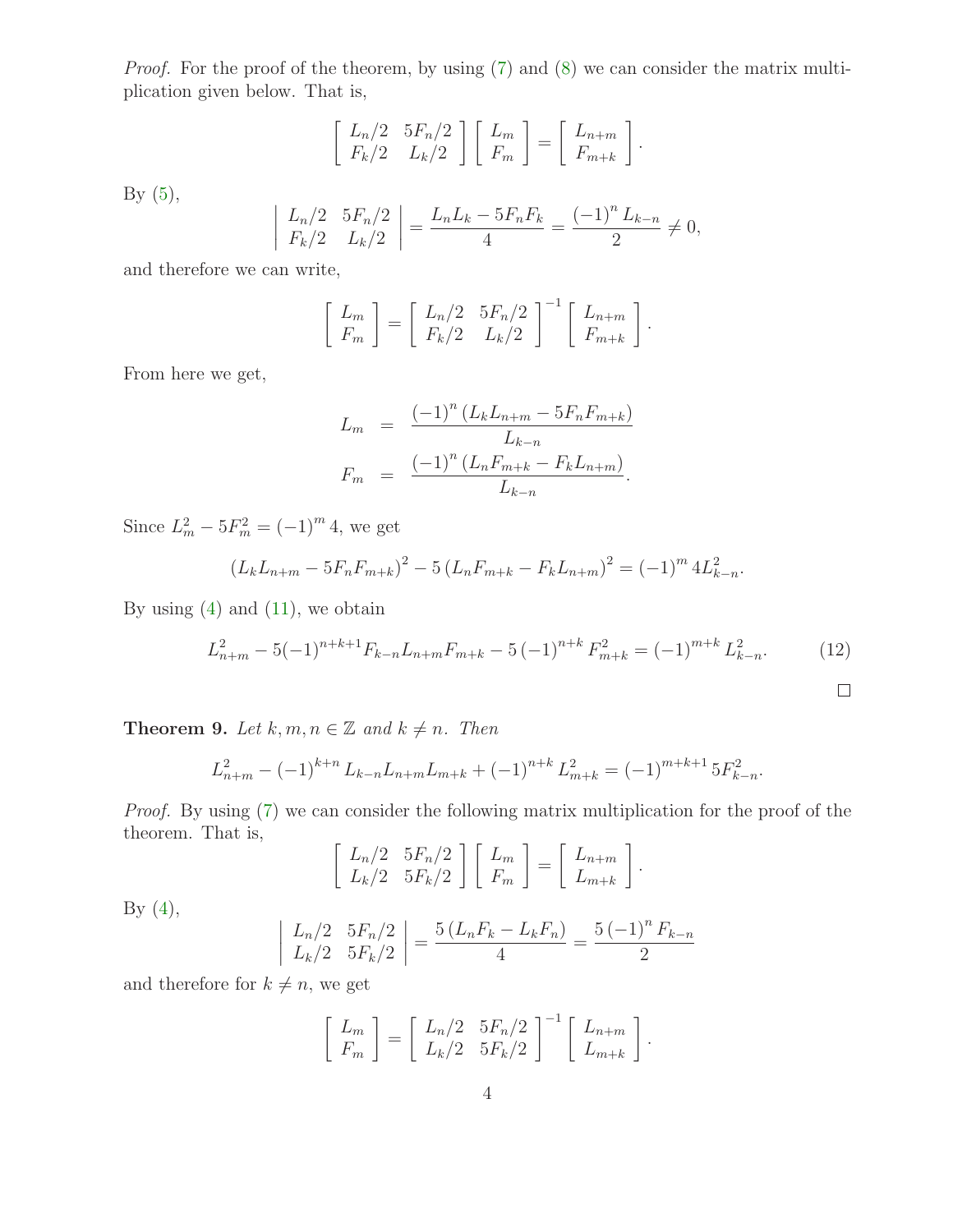Proof. For the proof of the theorem, by using [\(7\)](#page-1-3) and [\(8\)](#page-1-4) we can consider the matrix multiplication given below. That is,

$$
\left[\begin{array}{cc} L_n/2 & 5F_n/2 \\ F_k/2 & L_k/2 \end{array}\right] \left[\begin{array}{c} L_m \\ F_m \end{array}\right] = \left[\begin{array}{c} L_{n+m} \\ F_{m+k} \end{array}\right].
$$

By  $(5)$ ,

$$
\left| \begin{array}{cc} L_n/2 & 5F_n/2 \\ F_k/2 & L_k/2 \end{array} \right| = \frac{L_n L_k - 5F_n F_k}{4} = \frac{(-1)^n L_{k-n}}{2} \neq 0,
$$

and therefore we can write,

$$
\begin{bmatrix} L_m \\ F_m \end{bmatrix} = \begin{bmatrix} L_n/2 & 5F_n/2 \\ F_k/2 & L_k/2 \end{bmatrix}^{-1} \begin{bmatrix} L_{n+m} \\ F_{m+k} \end{bmatrix}.
$$

From here we get,

$$
L_m = \frac{(-1)^n (L_k L_{n+m} - 5F_n F_{m+k})}{L_{k-n}}
$$
  

$$
F_m = \frac{(-1)^n (L_n F_{m+k} - F_k L_{n+m})}{L_{k-n}}.
$$

Since  $L_m^2 - 5F_m^2 = (-1)^m 4$ , we get

<span id="page-3-1"></span>
$$
(L_k L_{n+m} - 5F_n F_{m+k})^2 - 5(L_n F_{m+k} - F_k L_{n+m})^2 = (-1)^m 4L_{k-n}^2.
$$

By using  $(4)$  and  $(11)$ , we obtain

$$
L_{n+m}^2 - 5(-1)^{n+k+1} F_{k-n} L_{n+m} F_{m+k} - 5(-1)^{n+k} F_{m+k}^2 = (-1)^{m+k} L_{k-n}^2.
$$
 (12)

<span id="page-3-0"></span>**Theorem 9.** Let  $k, m, n \in \mathbb{Z}$  and  $k \neq n$ . Then

$$
L_{n+m}^{2} - (-1)^{k+n} L_{k-n} L_{n+m} L_{m+k} + (-1)^{n+k} L_{m+k}^{2} = (-1)^{m+k+1} 5F_{k-n}^{2}.
$$

Proof. By using [\(7\)](#page-1-3) we can consider the following matrix multiplication for the proof of the theorem. That is,

$$
\left[\begin{array}{cc} L_n/2 & 5F_n/2 \\ L_k/2 & 5F_k/2 \end{array}\right] \left[\begin{array}{c} L_m \\ F_m \end{array}\right] = \left[\begin{array}{c} L_{n+m} \\ L_{m+k} \end{array}\right].
$$

By  $(4)$ ,

$$
\left| \begin{array}{cc} L_n/2 & 5F_n/2 \\ L_k/2 & 5F_k/2 \end{array} \right| = \frac{5\left(L_nF_k - L_kF_n\right)}{4} = \frac{5\left(-1\right)^n F_{k-n}}{2}
$$

and therefore for  $k \neq n$ , we get

$$
\begin{bmatrix} L_m \\ F_m \end{bmatrix} = \begin{bmatrix} L_n/2 & 5F_n/2 \\ L_k/2 & 5F_k/2 \end{bmatrix}^{-1} \begin{bmatrix} L_{n+m} \\ L_{m+k} \end{bmatrix}.
$$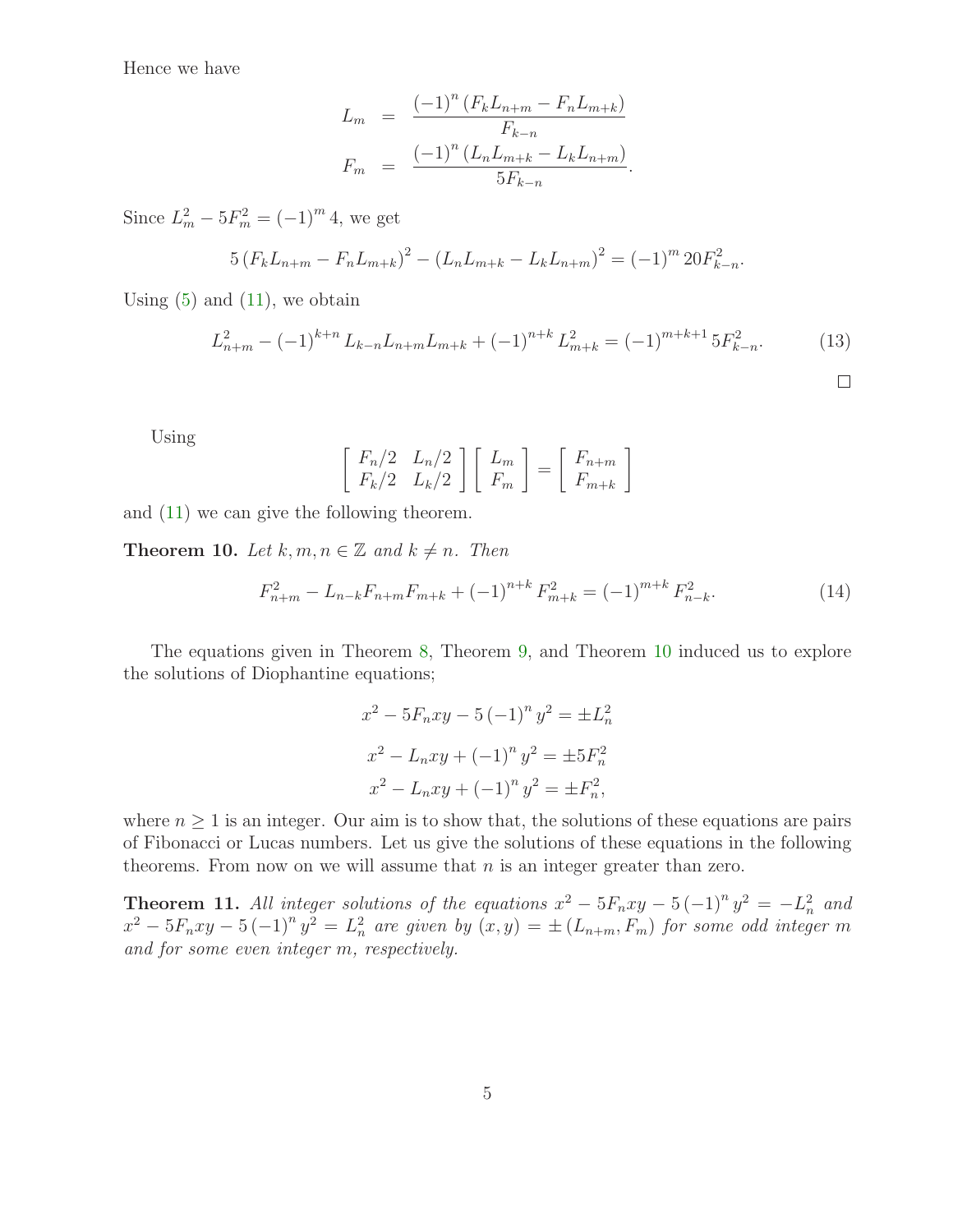Hence we have

$$
L_m = \frac{(-1)^n (F_k L_{n+m} - F_n L_{m+k})}{F_{k-n}}
$$
  

$$
F_m = \frac{(-1)^n (L_n L_{m+k} - L_k L_{n+m})}{5F_{k-n}}.
$$

Since  $L_m^2 - 5F_m^2 = (-1)^m 4$ , we get

<span id="page-4-1"></span>
$$
5(F_kL_{n+m} - F_nL_{m+k})^2 - (L_nL_{m+k} - L_kL_{n+m})^2 = (-1)^m 20F_{k-n}^2.
$$

Using  $(5)$  and  $(11)$ , we obtain

$$
L_{n+m}^2 - (-1)^{k+n} L_{k-n} L_{n+m} L_{m+k} + (-1)^{n+k} L_{m+k}^2 = (-1)^{m+k+1} 5F_{k-n}^2.
$$
 (13)

Using

<span id="page-4-2"></span>
$$
\left[\begin{array}{cc} F_n/2 & L_n/2 \\ F_k/2 & L_k/2 \end{array}\right] \left[\begin{array}{c} L_m \\ F_m \end{array}\right] = \left[\begin{array}{c} F_{n+m} \\ F_{m+k} \end{array}\right]
$$

<span id="page-4-0"></span>and [\(11\)](#page-1-2) we can give the following theorem.

**Theorem 10.** Let  $k, m, n \in \mathbb{Z}$  and  $k \neq n$ . Then

$$
F_{n+m}^2 - L_{n-k}F_{n+m}F_{m+k} + (-1)^{n+k}F_{m+k}^2 = (-1)^{m+k}F_{n-k}^2.
$$
 (14)

The equations given in Theorem [8,](#page-2-1) Theorem [9,](#page-3-0) and Theorem [10](#page-4-0) induced us to explore the solutions of Diophantine equations;

$$
x^{2} - 5F_{n}xy - 5(-1)^{n} y^{2} = \pm L_{n}^{2}
$$

$$
x^{2} - L_{n}xy + (-1)^{n} y^{2} = \pm 5F_{n}^{2}
$$

$$
x^{2} - L_{n}xy + (-1)^{n} y^{2} = \pm F_{n}^{2},
$$

where  $n \geq 1$  is an integer. Our aim is to show that, the solutions of these equations are pairs of Fibonacci or Lucas numbers. Let us give the solutions of these equations in the following theorems. From now on we will assume that  $n$  is an integer greater than zero.

<span id="page-4-3"></span>**Theorem 11.** All integer solutions of the equations  $x^2 - 5F_nxy - 5(-1)^n y^2 = -L_n^2$  and  $x^2 - 5F_nxy - 5(-1)^n y^2 = L_n^2$  are given by  $(x, y) = \pm (L_{n+m}, F_m)$  for some odd integer m and for some even integer m, respectively.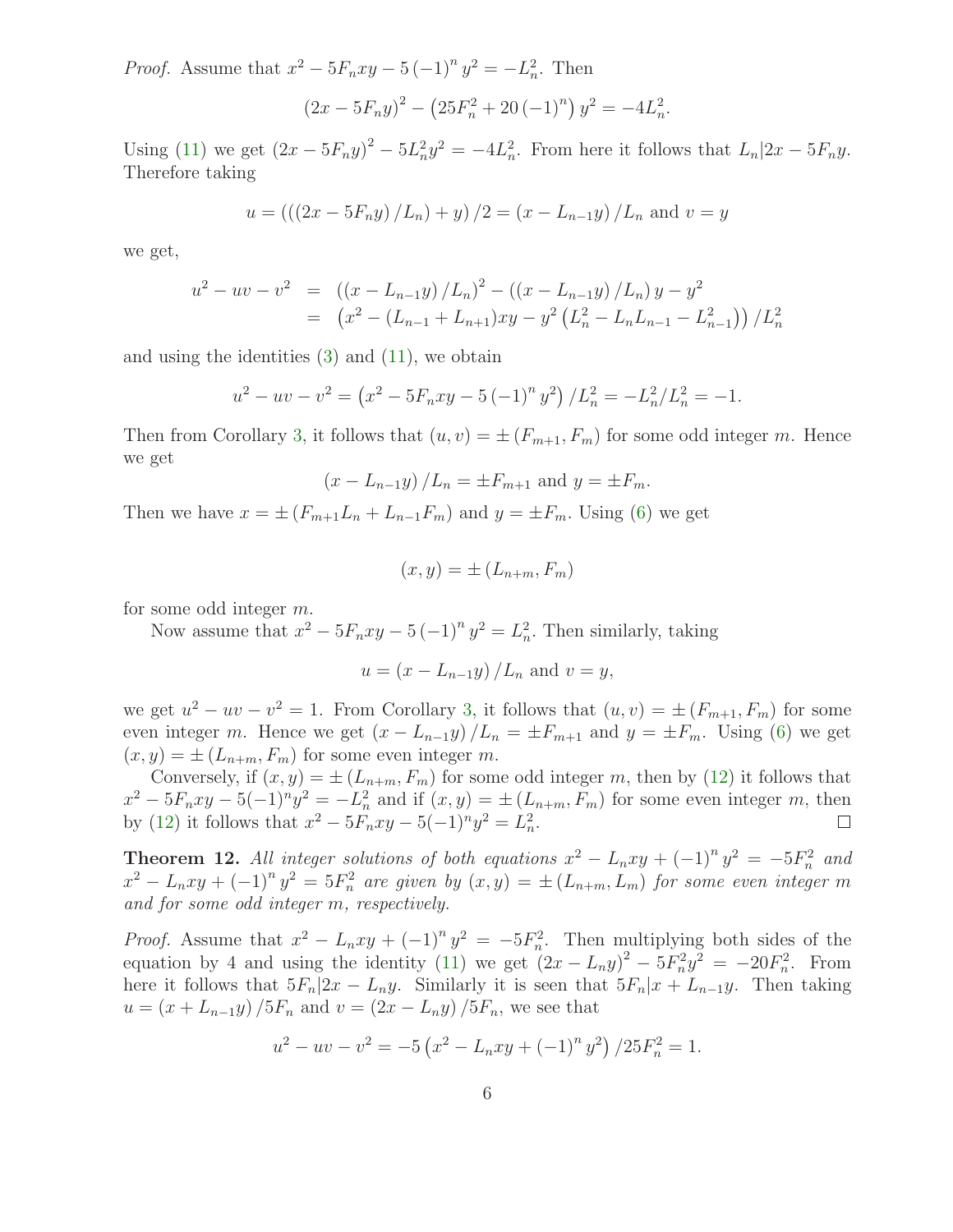*Proof.* Assume that  $x^2 - 5F_nxy - 5(-1)^n y^2 = -L_n^2$ . Then

$$
(2x - 5F_ny)^2 - (25F_n^2 + 20(-1)^n)y^2 = -4L_n^2.
$$

Using [\(11\)](#page-1-2) we get  $(2x - 5F_ny)^2 - 5L_n^2y^2 = -4L_n^2$ . From here it follows that  $L_n|2x - 5F_ny$ . Therefore taking

$$
u = (((2x - 5F_ny)/L_n) + y)/2 = (x - L_{n-1}y)/L_n
$$
 and  $v = y$ 

we get,

$$
u^{2} - uv - v^{2} = ((x - L_{n-1}y) / L_{n})^{2} - ((x - L_{n-1}y) / L_{n}) y - y^{2}
$$
  
=  $(x^{2} - (L_{n-1} + L_{n+1})xy - y^{2} (L_{n}^{2} - L_{n}L_{n-1} - L_{n-1}^{2})) / L_{n}^{2}$ 

and using the identities  $(3)$  and  $(11)$ , we obtain

$$
u^{2} - uv - v^{2} = (x^{2} - 5F_{n}xy - 5(-1)^{n} y^{2}) / L_{n}^{2} = -L_{n}^{2} / L_{n}^{2} = -1.
$$

Then from Corollary [3,](#page-2-2) it follows that  $(u, v) = \pm (F_{m+1}, F_m)$  for some odd integer m. Hence we get

$$
(x - L_{n-1}y) / L_n = \pm F_{m+1}
$$
 and  $y = \pm F_m$ .

Then we have  $x = \pm (F_{m+1}L_n + L_{n-1}F_m)$  and  $y = \pm F_m$ . Using [\(6\)](#page-1-8) we get

$$
(x,y) = \pm (L_{n+m}, F_m)
$$

for some odd integer m.

Now assume that  $x^2 - 5F_nxy - 5(-1)^n y^2 = L_n^2$ . Then similarly, taking

$$
u = \left(x - L_{n-1}y\right) / L_n
$$
 and  $v = y$ ,

we get  $u^2 - uv - v^2 = 1$ . From Corollary [3,](#page-2-2) it follows that  $(u, v) = \pm (F_{m+1}, F_m)$  for some even integer m. Hence we get  $(x - L_{n-1}y)/L_n = \pm F_{m+1}$  and  $y = \pm F_m$ . Using [\(6\)](#page-1-8) we get  $(x, y) = \pm (L_{n+m}, F_m)$  for some even integer m.

Conversely, if  $(x, y) = \pm (L_{n+m}, F_m)$  for some odd integer m, then by [\(12\)](#page-3-1) it follows that  $x^2 - 5F_nxy - 5(-1)^ny^2 = -L_n^2$  and if  $(x, y) = \pm (L_{n+m}, F_m)$  for some even integer m, then by [\(12\)](#page-3-1) it follows that  $x^2 - 5F_nxy - 5(-1)^ny^2 = L_n^2$ .

<span id="page-5-0"></span>**Theorem 12.** All integer solutions of both equations  $x^2 - L_nxy + (-1)^n y^2 = -5F_n^2$  and  $x^2 - L_nxy + (-1)^n y^2 = 5F_n^2$  are given by  $(x, y) = \pm (L_{n+m}, L_m)$  for some even integer m and for some odd integer m, respectively.

*Proof.* Assume that  $x^2 - L_nxy + (-1)^n y^2 = -5F_n^2$ . Then multiplying both sides of the equation by 4 and using the identity [\(11\)](#page-1-2) we get  $(2x - L_n y)^2 - 5F_n^2 y^2 = -20F_n^2$ . From here it follows that  $5F_n|2x - L_ny$ . Similarly it is seen that  $5F_n|x + L_{n-1}y$ . Then taking  $u = (x + L_{n-1}y)/5F_n$  and  $v = (2x - L_ny)/5F_n$ , we see that

$$
u^{2} - uv - v^{2} = -5\left(x^{2} - L_{n}xy + (-1)^{n}y^{2}\right)/25F_{n}^{2} = 1.
$$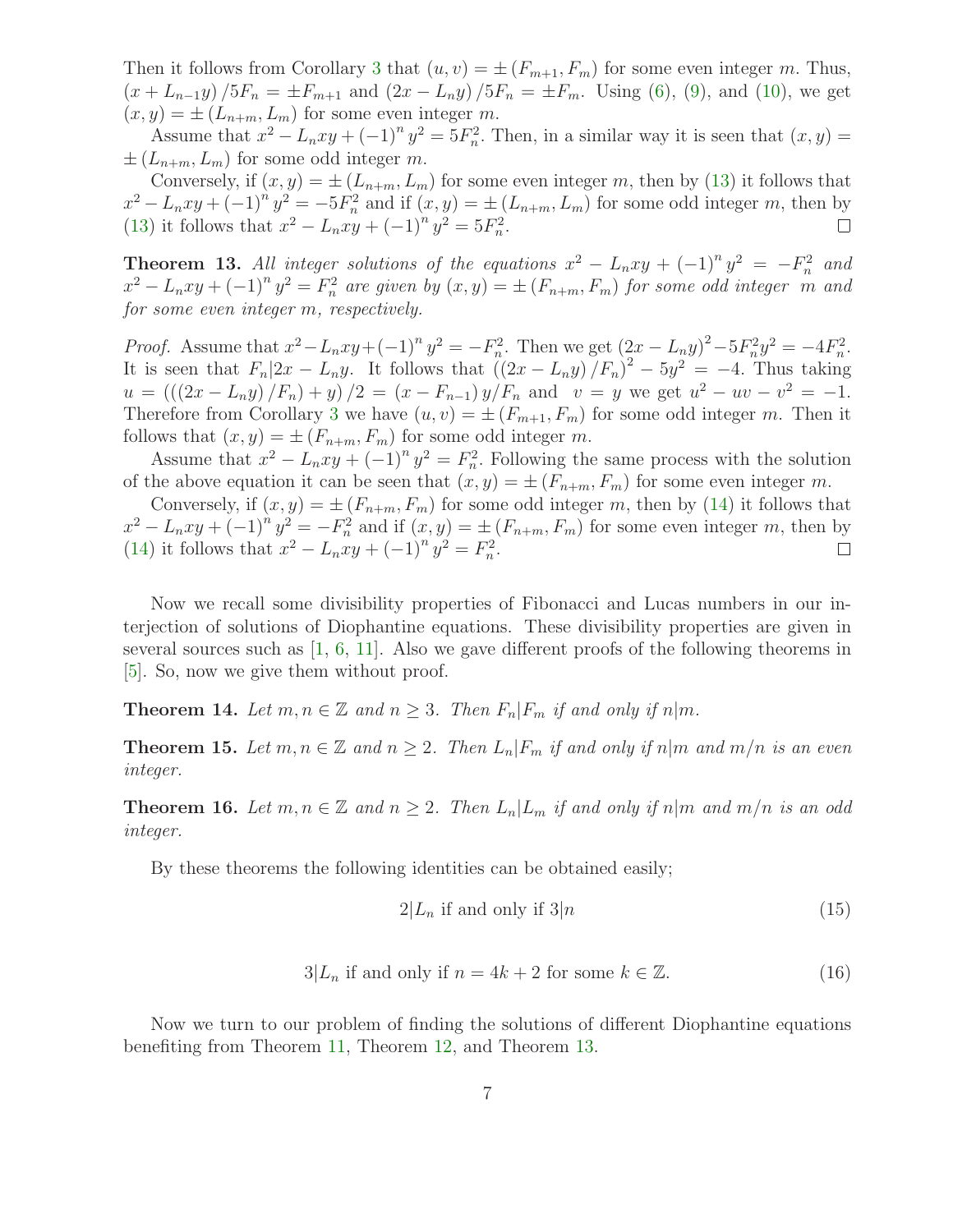Then it follows from Corollary [3](#page-2-2) that  $(u, v) = \pm (F_{m+1}, F_m)$  for some even integer m. Thus,  $(x + L_{n-1}y)/5F_n = \pm F_{m+1}$  and  $(2x - L_ny)/5F_n = \pm F_m$ . Using [\(6\)](#page-1-8), [\(9\)](#page-1-9), and [\(10\)](#page-1-10), we get  $(x, y) = \pm (L_{n+m}, L_m)$  for some even integer m.

Assume that  $x^2 - L_n xy + (-1)^n y^2 = 5F_n^2$ . Then, in a similar way it is seen that  $(x, y) =$  $\pm (L_{n+m}, L_m)$  for some odd integer m.

Conversely, if  $(x, y) = \pm (L_{n+m}, L_m)$  for some even integer m, then by [\(13\)](#page-4-1) it follows that  $x^2 - L_n xy + (-1)^n y^2 = -5F_n^2$  and if  $(x, y) = \pm (L_{n+m}, L_m)$  for some odd integer m, then by [\(13\)](#page-4-1) it follows that  $x^2 - L_n xy + (-1)^n y^2 = 5F_n^2$ .

<span id="page-6-0"></span>**Theorem 13.** All integer solutions of the equations  $x^2 - L_nxy + (-1)^n y^2 = -F_n^2$  and  $x^2 - L_nxy + (-1)^n y^2 = F_n^2$  are given by  $(x, y) = \pm (F_{n+m}, F_m)$  for some odd integer m and for some even integer m, respectively.

*Proof.* Assume that  $x^2 - L_n xy + (-1)^n y^2 = -F_n^2$ . Then we get  $(2x - L_n y)^2 - 5F_n^2 y^2 = -4F_n^2$ . It is seen that  $F_n|2x - L_n y$ . It follows that  $((2x - L_n y)/F_n)^2 - 5y^2 = -4$ . Thus taking  $u = \left( \left( (2x - L_n y) / F_n \right) + y \right) / 2 = (x - F_{n-1}) y / F_n$  and  $v = y$  we get  $u^2 - uv - v^2 = -1$ . Therefore from Corollary [3](#page-2-2) we have  $(u, v) = \pm (F_{m+1}, F_m)$  for some odd integer m. Then it follows that  $(x, y) = \pm (F_{n+m}, F_m)$  for some odd integer m.

Assume that  $x^2 - L_n xy + (-1)^n y^2 = F_n^2$ . Following the same process with the solution of the above equation it can be seen that  $(x, y) = \pm (F_{n+m}, F_m)$  for some even integer m.

Conversely, if  $(x, y) = \pm (F_{n+m}, F_m)$  for some odd integer m, then by [\(14\)](#page-4-2) it follows that  $x^2 - L_n xy + (-1)^n y^2 = -F_n^2$  and if  $(x, y) = \pm (F_{n+m}, F_m)$  for some even integer m, then by [\(14\)](#page-4-2) it follows that  $x^2 - L_n xy + (-1)^n y^2 = F_n^2$ .

Now we recall some divisibility properties of Fibonacci and Lucas numbers in our interjection of solutions of Diophantine equations. These divisibility properties are given in several sources such as  $[1, 6, 11]$  $[1, 6, 11]$  $[1, 6, 11]$  $[1, 6, 11]$ . Also we gave different proofs of the following theorems in [\[5\]](#page-12-6). So, now we give them without proof.

<span id="page-6-2"></span><span id="page-6-1"></span>**Theorem 14.** Let  $m, n \in \mathbb{Z}$  and  $n \geq 3$ . Then  $F_n|F_m$  if and only if  $n|m$ .

**Theorem 15.** Let  $m, n \in \mathbb{Z}$  and  $n \geq 2$ . Then  $L_n | F_m$  if and only if  $n | m$  and  $m/n$  is an even integer.

<span id="page-6-3"></span>**Theorem 16.** Let  $m, n \in \mathbb{Z}$  and  $n \geq 2$ . Then  $L_n | L_m$  if and only if  $n | m$  and  $m/n$  is an odd integer.

By these theorems the following identities can be obtained easily;

$$
2|L_n \text{ if and only if } 3|n \tag{15}
$$

$$
3|L_n \text{ if and only if } n = 4k + 2 \text{ for some } k \in \mathbb{Z}. \tag{16}
$$

Now we turn to our problem of finding the solutions of different Diophantine equations benefiting from Theorem [11,](#page-4-3) Theorem [12,](#page-5-0) and Theorem [13.](#page-6-0)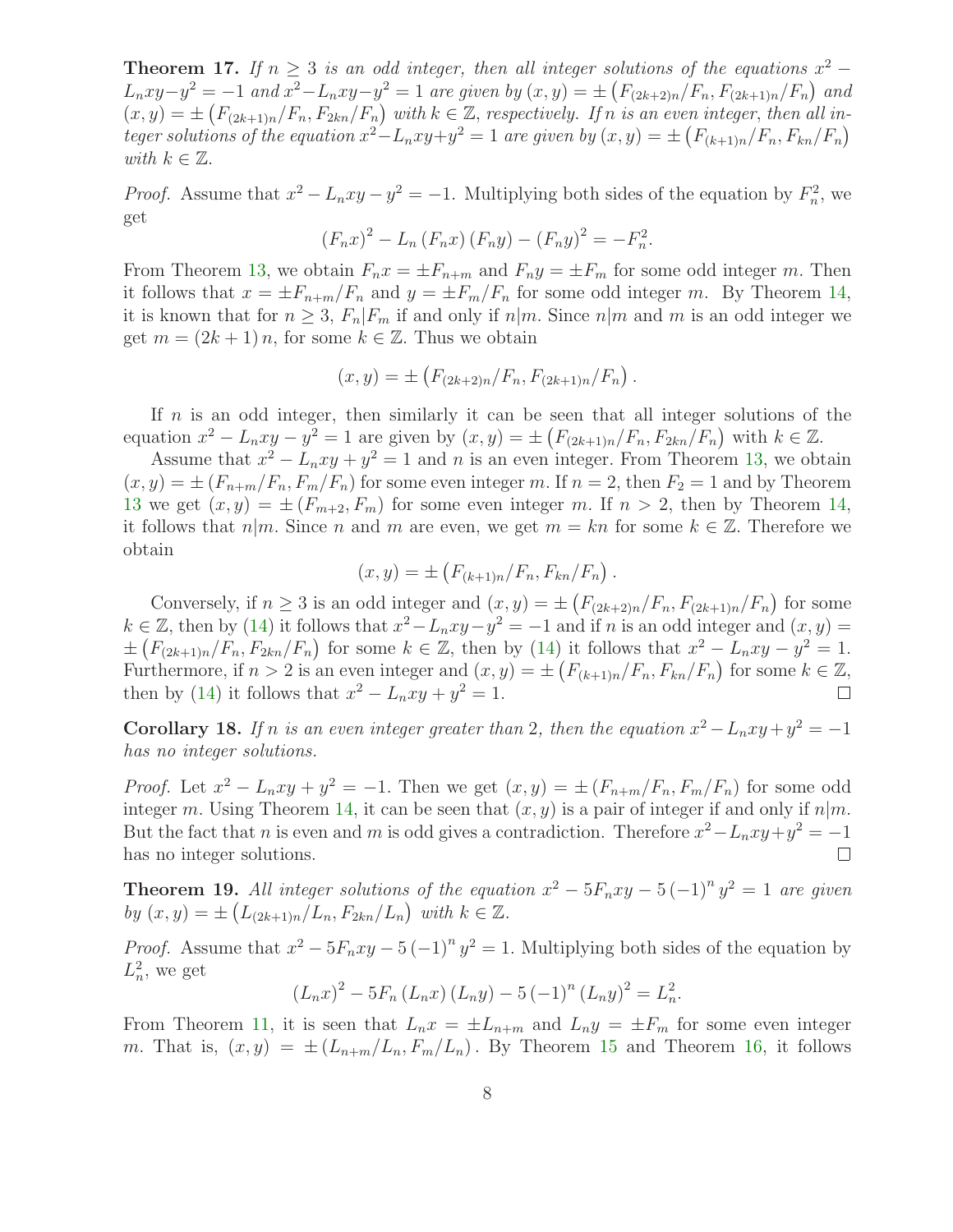**Theorem 17.** If  $n \geq 3$  is an odd integer, then all integer solutions of the equations  $x^2 L_n xy - y^2 = -1$  and  $x^2 - L_n xy - y^2 = 1$  are given by  $(x, y) = \pm (F_{(2k+2)n}/F_n, F_{(2k+1)n}/F_n)$  and  $f(x,y) = \pm \left(F_{(2k+1)n}/F_n, F_{2kn}/F_n\right)$  with  $k \in \mathbb{Z}$ , respectively. If n is an even integer, then all integer solutions of the equation  $x^2 - L_nxy + y^2 = 1$  are given by  $(x, y) = \pm \left(F_{(k+1)n}/F_n, F_{kn}/F_n\right)$ with  $k \in \mathbb{Z}$ .

*Proof.* Assume that  $x^2 - L_n xy - y^2 = -1$ . Multiplying both sides of the equation by  $F_n^2$ , we get

$$
(F_n x)^2 - L_n (F_n x) (F_n y) - (F_n y)^2 = -F_n^2.
$$

From Theorem [13,](#page-6-0) we obtain  $F_n x = \pm F_{n+m}$  and  $F_n y = \pm F_m$  for some odd integer m. Then it follows that  $x = \pm F_{n+m}/F_n$  and  $y = \pm F_m/F_n$  for some odd integer m. By Theorem [14,](#page-6-1) it is known that for  $n \geq 3$ ,  $F_n|F_m$  if and only if  $n|m$ . Since  $n|m$  and m is an odd integer we get  $m = (2k + 1) n$ , for some  $k \in \mathbb{Z}$ . Thus we obtain

$$
(x,y) = \pm \left( F_{(2k+2)n} / F_n, F_{(2k+1)n} / F_n \right).
$$

If  $n$  is an odd integer, then similarly it can be seen that all integer solutions of the equation  $x^2 - L_n xy - y^2 = 1$  are given by  $(x, y) = \pm \left( F_{(2k+1)n}/F_n, F_{2kn}/F_n \right)$  with  $k \in \mathbb{Z}$ .

Assume that  $x^2 - L_nxy + y^2 = 1$  and n is an even integer. From Theorem [13,](#page-6-0) we obtain  $(x, y) = \pm (F_{n+m}/F_n, F_m/F_n)$  for some even integer m. If  $n = 2$ , then  $F_2 = 1$  and by Theorem [13](#page-6-0) we get  $(x, y) = \pm (F_{m+2}, F_m)$  for some even integer m. If  $n > 2$ , then by Theorem [14,](#page-6-1) it follows that  $n|m$ . Since n and m are even, we get  $m = kn$  for some  $k \in \mathbb{Z}$ . Therefore we obtain

$$
(x,y) = \pm \left( F_{(k+1)n}/F_n, F_{kn}/F_n \right).
$$

Conversely, if  $n \geq 3$  is an odd integer and  $(x, y) = \pm \left(F_{(2k+2)n}/F_n, F_{(2k+1)n}/F_n\right)$  for some  $k \in \mathbb{Z}$ , then by [\(14\)](#page-4-2) it follows that  $x^2 - L_nxy - y^2 = -1$  and if n is an odd integer and  $(x, y) =$  $\pm (F_{(2k+1)n}/F_n, F_{2kn}/F_n)$  for some  $k \in \mathbb{Z}$ , then by [\(14\)](#page-4-2) it follows that  $x^2 - L_nxy - y^2 = 1$ . Furthermore, if  $n > 2$  is an even integer and  $(x, y) = \pm \left( F_{(k+1)n}/F_n, F_{kn}/F_n \right)$  for some  $k \in \mathbb{Z}$ , then by [\(14\)](#page-4-2) it follows that  $x^2 - L_n xy + y^2 = 1$ .

**Corollary 18.** If n is an even integer greater than 2, then the equation  $x^2 - L_nxy + y^2 = -1$ has no integer solutions.

*Proof.* Let  $x^2 - L_nxy + y^2 = -1$ . Then we get  $(x, y) = \pm (F_{n+m}/F_n, F_m/F_n)$  for some odd integer m. Using Theorem [14,](#page-6-1) it can be seen that  $(x, y)$  is a pair of integer if and only if  $n|m$ . But the fact that *n* is even and *m* is odd gives a contradiction. Therefore  $x^2 - L_nxy + y^2 = -1$ has no integer solutions.

**Theorem 19.** All integer solutions of the equation  $x^2 - 5F_nxy - 5(-1)^n y^2 = 1$  are given by  $(x, y) = \pm (L_{(2k+1)n}/L_n, F_{2kn}/L_n)$  with  $k \in \mathbb{Z}$ .

*Proof.* Assume that  $x^2 - 5F_nxy - 5(-1)^n y^2 = 1$ . Multiplying both sides of the equation by  $L_n^2$ , we get

$$
(L_n x)^2 - 5F_n (L_n x) (L_n y) - 5 (-1)^n (L_n y)^2 = L_n^2.
$$

From Theorem [11,](#page-4-3) it is seen that  $L_n x = \pm L_{n+m}$  and  $L_n y = \pm F_m$  for some even integer m. That is,  $(x, y) = \pm (L_{n+m}/L_n, F_m/L_n)$ . By Theorem [15](#page-6-2) and Theorem [16,](#page-6-3) it follows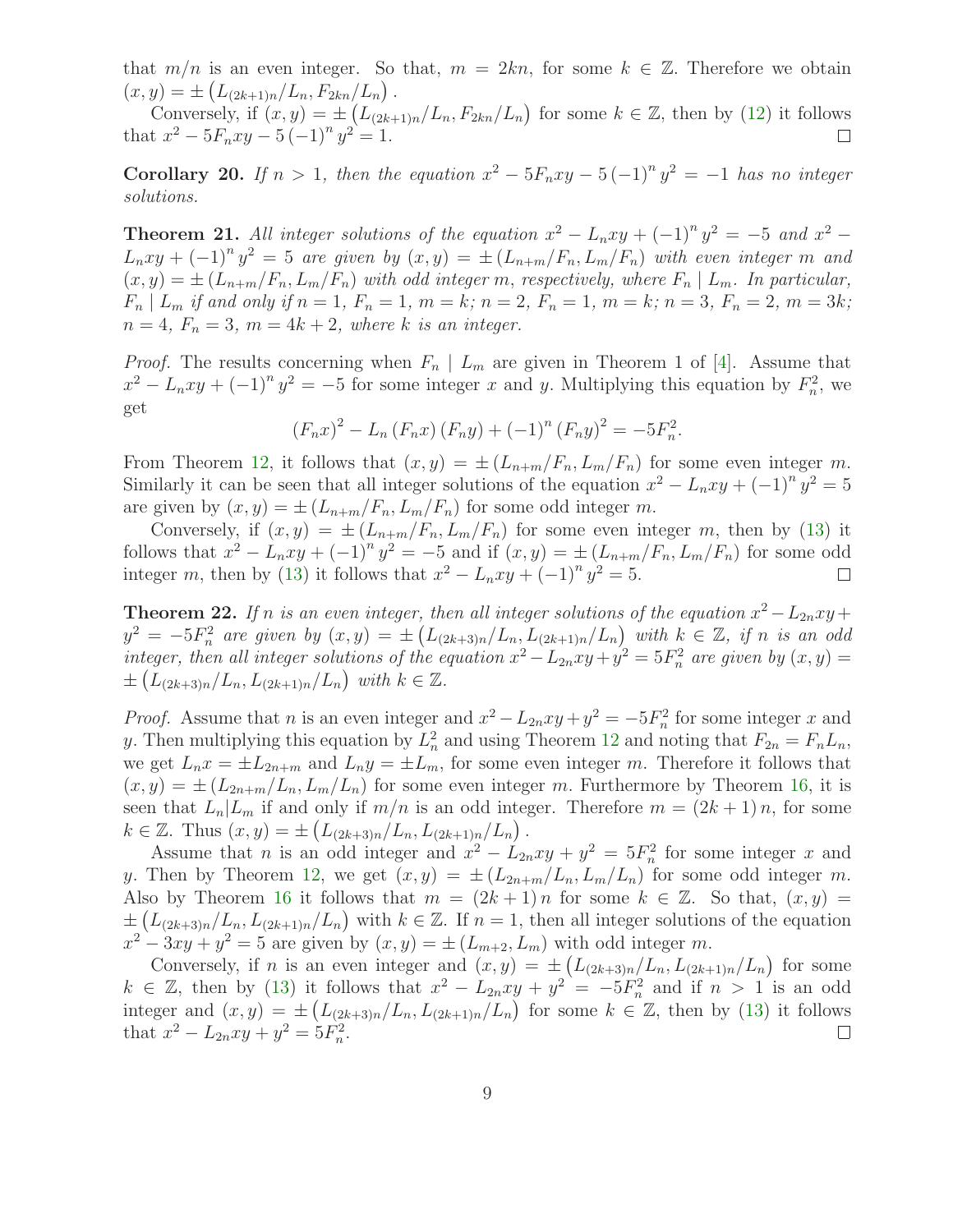that  $m/n$  is an even integer. So that,  $m = 2kn$ , for some  $k \in \mathbb{Z}$ . Therefore we obtain  $(x, y) = \pm \left( L_{(2k+1)n} / L_n, F_{2kn} / L_n \right).$ 

Conversely, if  $(x, y) = \pm \left(L_{(2k+1)n}/L_n, F_{2kn}/L_n\right)$  for some  $k \in \mathbb{Z}$ , then by [\(12\)](#page-3-1) it follows that  $x^2 - 5F_nxy - 5(-1)^n y^2 = 1$ .

Corollary 20. If  $n > 1$ , then the equation  $x^2 - 5F_nxy - 5(-1)^n y^2 = -1$  has no integer solutions.

**Theorem 21.** All integer solutions of the equation  $x^2 - L_nxy + (-1)^n y^2 = -5$  and  $x^2 L_n xy + (-1)^n y^2 = 5$  are given by  $(x, y) = \pm (L_{n+m}/F_n, L_m/F_n)$  with even integer m and  $(x, y) = \pm (L_{n+m}/F_n, L_m/F_n)$  with odd integer m, respectively, where  $F_n \mid L_m$ . In particular,  $F_n | L_m$  if and only if  $n = 1, F_n = 1, m = k; n = 2, F_n = 1, m = k; n = 3, F_n = 2, m = 3k;$  $n = 4$ ,  $F_n = 3$ ,  $m = 4k + 2$ , where k is an integer.

*Proof.* The results concerning when  $F_n \mid L_m$  are given in Theorem 1 of [\[4\]](#page-12-7). Assume that  $x^2 - L_n xy + (-1)^n y^2 = -5$  for some integer x and y. Multiplying this equation by  $F_n^2$ , we get

$$
(F_n x)^2 - L_n (F_n x) (F_n y) + (-1)^n (F_n y)^2 = -5F_n^2.
$$

From Theorem [12,](#page-5-0) it follows that  $(x, y) = \pm (L_{n+m}/F_n, L_m/F_n)$  for some even integer m. Similarly it can be seen that all integer solutions of the equation  $x^2 - L_nxy + (-1)^n y^2 = 5$ are given by  $(x, y) = \pm (L_{n+m}/F_n, L_m/F_n)$  for some odd integer m.

Conversely, if  $(x, y) = \pm (L_{n+m}/F_n, L_m/F_n)$  for some even integer m, then by [\(13\)](#page-4-1) it follows that  $x^2 - L_n xy + (-1)^n y^2 = -5$  and if  $(x, y) = \pm (L_{n+m}/F_n, L_m/F_n)$  for some odd integer m, then by [\(13\)](#page-4-1) it follows that  $x^2 - L_n xy + (-1)^n y^2 = 5$ .

**Theorem 22.** If n is an even integer, then all integer solutions of the equation  $x^2 - L_{2n}xy +$  $y^2 = -5F_n^2$  are given by  $(x, y) = \pm \left(L_{(2k+3)n}/L_n, L_{(2k+1)n}/L_n\right)$  with  $k \in \mathbb{Z}$ , if n is an odd integer, then all integer solutions of the equation  $x^2 - L_{2n}xy + y^2 = 5F_n^2$  are given by  $(x, y) =$  $\pm (L_{(2k+3)n}/L_n, L_{(2k+1)n}/L_n)$  with  $k \in \mathbb{Z}$ .

*Proof.* Assume that *n* is an even integer and  $x^2 - L_{2n}xy + y^2 = -5F_n^2$  for some integer *x* and y. Then multiplying this equation by  $L_n^2$  and using Theorem [12](#page-5-0) and noting that  $F_{2n} = F_n L_n$ , we get  $L_n x = \pm L_{2n+m}$  and  $L_n y = \pm L_m$ , for some even integer m. Therefore it follows that  $(x, y) = \pm (L_{2n+m}/L_n, L_m/L_n)$  for some even integer m. Furthermore by Theorem [16,](#page-6-3) it is seen that  $L_n|L_m$  if and only if  $m/n$  is an odd integer. Therefore  $m = (2k+1)n$ , for some  $k \in \mathbb{Z}$ . Thus  $(x, y) = \pm \left( L_{(2k+3)n} / L_n, L_{(2k+1)n} / L_n \right)$ .

Assume that *n* is an odd integer and  $x^2 - L_{2n}xy + y^2 = 5F_n^2$  for some integer *x* and y. Then by Theorem [12,](#page-5-0) we get  $(x, y) = \pm (L_{2n+m}/L_n, L_m/L_n)$  for some odd integer m. Also by Theorem [16](#page-6-3) it follows that  $m = (2k+1)n$  for some  $k \in \mathbb{Z}$ . So that,  $(x, y) =$  $\pm (L_{(2k+3)n}/L_n, L_{(2k+1)n}/L_n)$  with  $k \in \mathbb{Z}$ . If  $n = 1$ , then all integer solutions of the equation  $x^2 - 3xy + y^2 = 5$  are given by  $(x, y) = \pm (L_{m+2}, L_m)$  with odd integer m.

Conversely, if *n* is an even integer and  $(x, y) = \pm \left(L_{(2k+3)n}/L_n, L_{(2k+1)n}/L_n\right)$  for some  $k \in \mathbb{Z}$ , then by [\(13\)](#page-4-1) it follows that  $x^2 - L_{2n}xy + y^2 = -5F_n^2$  and if  $n > 1$  is an odd integer and  $(x, y) = \pm \left( L_{(2k+3)n}/L_n, L_{(2k+1)n}/L_n \right)$  for some  $k \in \mathbb{Z}$ , then by [\(13\)](#page-4-1) it follows that  $x^2 - L_{2n}xy + y^2 = 5F_n^2$ .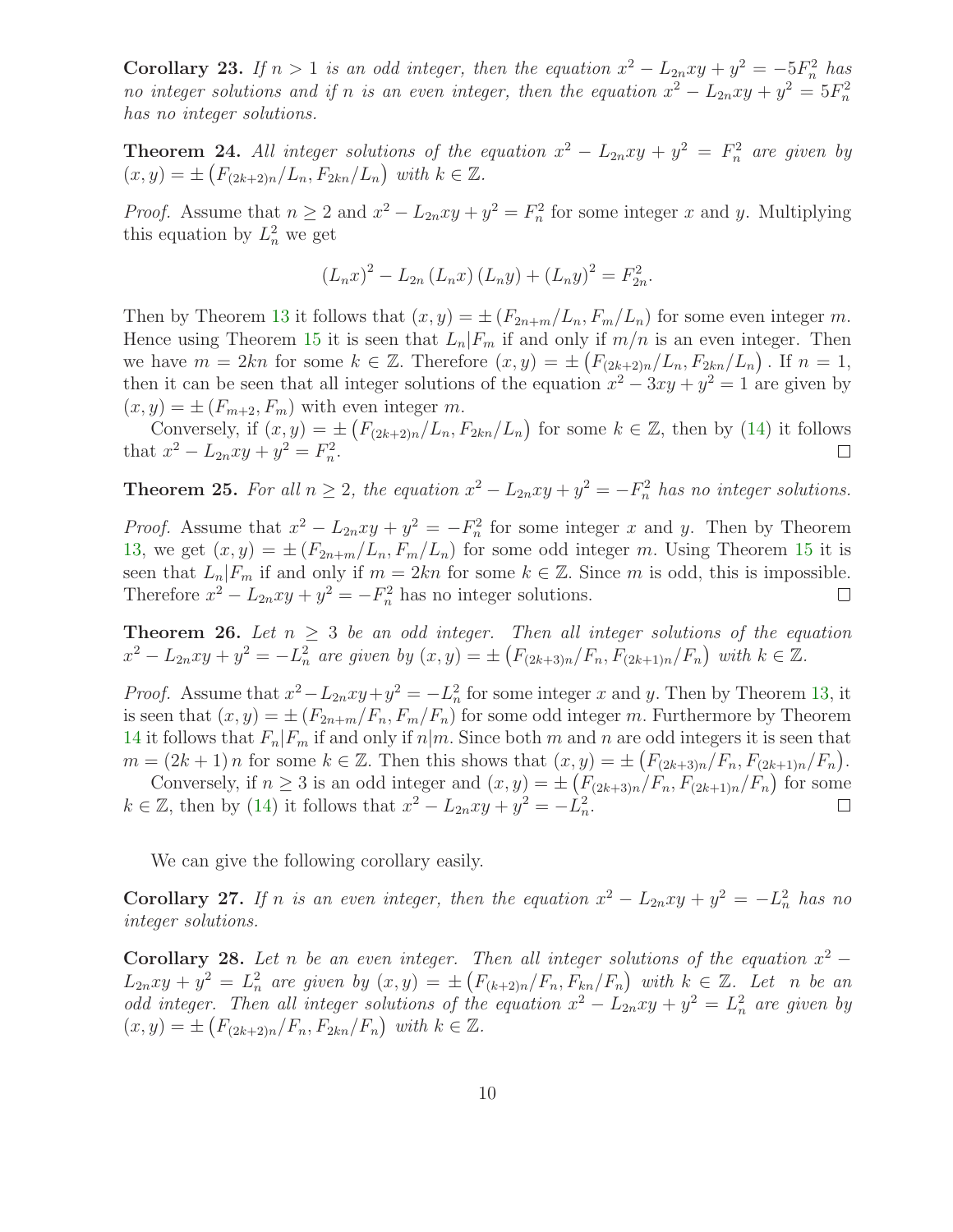**Corollary 23.** If  $n > 1$  is an odd integer, then the equation  $x^2 - L_{2n}xy + y^2 = -5F_n^2$  has no integer solutions and if n is an even integer, then the equation  $x^2 - L_{2n}xy + y^2 = 5F_n^2$ has no integer solutions.

**Theorem 24.** All integer solutions of the equation  $x^2 - L_{2n}xy + y^2 = F_n^2$  are given by  $(x, y) = \pm (F_{(2k+2)n}/L_n, F_{2kn}/L_n)$  with  $k \in \mathbb{Z}$ .

*Proof.* Assume that  $n \geq 2$  and  $x^2 - L_{2n}xy + y^2 = F_n^2$  for some integer x and y. Multiplying this equation by  $L_n^2$  we get

$$
(L_n x)^2 - L_{2n} (L_n x) (L_n y) + (L_n y)^2 = F_{2n}^2.
$$

Then by Theorem [13](#page-6-0) it follows that  $(x, y) = \pm (F_{2n+m}/L_n, F_m/L_n)$  for some even integer m. Hence using Theorem [15](#page-6-2) it is seen that  $L_n|F_m$  if and only if  $m/n$  is an even integer. Then we have  $m = 2kn$  for some  $k \in \mathbb{Z}$ . Therefore  $(x, y) = \pm \left( F_{(2k+2)n}/L_n, F_{2kn}/L_n \right)$ . If  $n = 1$ , then it can be seen that all integer solutions of the equation  $x^2 - 3xy + y^2 = 1$  are given by  $(x, y) = \pm (F_{m+2}, F_m)$  with even integer m.

Conversely, if  $(x, y) = \pm \left( F_{(2k+2)n}/L_n, F_{2kn}/L_n \right)$  for some  $k \in \mathbb{Z}$ , then by [\(14\)](#page-4-2) it follows that  $x^2 - L_{2n}xy + y^2 = F_n^2$ .

**Theorem 25.** For all  $n \geq 2$ , the equation  $x^2 - L_{2n}xy + y^2 = -F_n^2$  has no integer solutions.

*Proof.* Assume that  $x^2 - L_{2n}xy + y^2 = -F_n^2$  for some integer x and y. Then by Theorem [13,](#page-6-0) we get  $(x, y) = \pm (F_{2n+m}/L_n, F_m/L_n)$  for some odd integer m. Using Theorem [15](#page-6-2) it is seen that  $L_n|F_m$  if and only if  $m = 2kn$  for some  $k \in \mathbb{Z}$ . Since m is odd, this is impossible.<br>Therefore  $x^2 - L_{2n}xy + y^2 = -F_n^2$  has no integer solutions. Therefore  $x^2 - L_{2n}xy + y^2 = -F_n^2$  has no integer solutions.

**Theorem 26.** Let  $n \geq 3$  be an odd integer. Then all integer solutions of the equation  $x^2 - L_{2n}xy + y^2 = -L_n^2$  are given by  $(x, y) = \pm (F_{(2k+3)n}/F_n, F_{(2k+1)n}/F_n)$  with  $k \in \mathbb{Z}$ .

*Proof.* Assume that  $x^2 - L_{2n}xy + y^2 = -L_n^2$  for some integer x and y. Then by Theorem [13,](#page-6-0) it is seen that  $(x, y) = \pm (F_{2n+m}/F_n, F_m/F_n)$  for some odd integer m. Furthermore by Theorem [14](#page-6-1) it follows that  $F_n|F_m$  if and only if  $n|m$ . Since both m and n are odd integers it is seen that  $m = (2k+1)n$  for some  $k \in \mathbb{Z}$ . Then this shows that  $(x, y) = \pm \left(F_{(2k+3)n}/F_n, F_{(2k+1)n}/F_n\right)$ .

Conversely, if  $n \geq 3$  is an odd integer and  $(x, y) = \pm \left( F_{(2k+3)n}/F_n, F_{(2k+1)n}/F_n \right)$  for some  $k \in \mathbb{Z}$ , then by [\(14\)](#page-4-2) it follows that  $x^2 - L_{2n}xy + y^2 = -\tilde{L}_n^2$ .  $\Box$ 

We can give the following corollary easily.

**Corollary 27.** If n is an even integer, then the equation  $x^2 - L_{2n}xy + y^2 = -L_n^2$  has no integer solutions.

Corollary 28. Let n be an even integer. Then all integer solutions of the equation  $x^2 L_{2n}xy + y^2 = L_n^2$  are given by  $(x, y) = \pm \left(F_{(k+2)n}/F_n, F_{kn}/F_n\right)$  with  $k \in \mathbb{Z}$ . Let n be an odd integer. Then all integer solutions of the equation  $x^2 - L_{2n}xy + y^2 = L_n^2$  are given by  $(x, y) = \pm (F_{(2k+2)n}/F_n, F_{2kn}/F_n)$  with  $k \in \mathbb{Z}$ .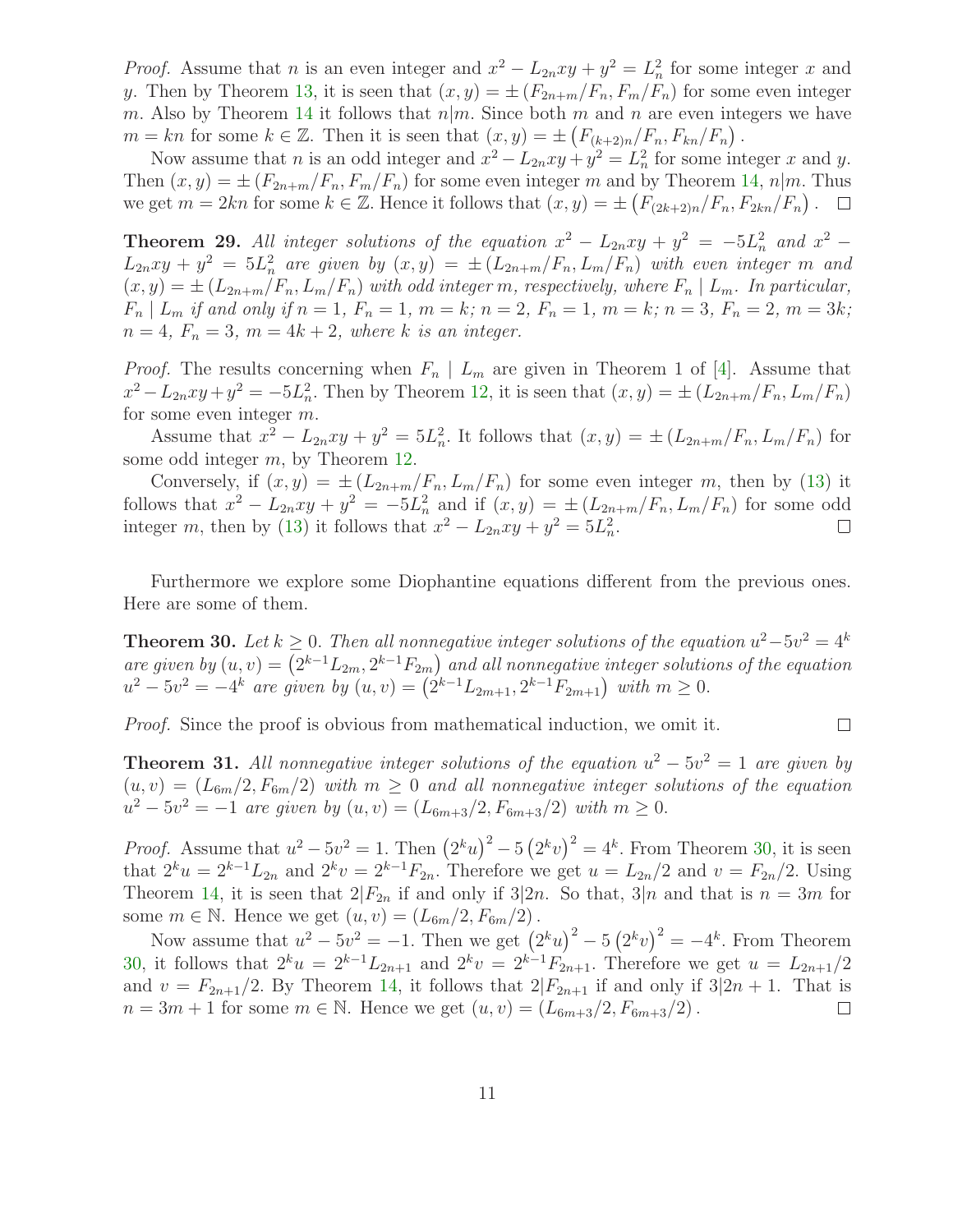*Proof.* Assume that *n* is an even integer and  $x^2 - L_{2n}xy + y^2 = L_n^2$  for some integer *x* and y. Then by Theorem [13,](#page-6-0) it is seen that  $(x, y) = \pm (F_{2n+m}/F_n, F_m/F_n)$  for some even integer m. Also by Theorem [14](#page-6-1) it follows that  $n|m$ . Since both m and n are even integers we have  $m = kn$  for some  $k \in \mathbb{Z}$ . Then it is seen that  $(x, y) = \pm \left(F_{\frac{k+2}{n}}/F_n, F_{kn}/F_n\right)$ .

Now assume that *n* is an odd integer and  $x^2 - L_{2n}xy + y^2 = L_n^2$  for some integer *x* and *y*. Then  $(x, y) = \pm (F_{2n+m}/F_n, F_m/F_n)$  for some even integer m and by Theorem [14,](#page-6-1)  $n|m$ . Thus we get  $m = 2kn$  for some  $k \in \mathbb{Z}$ . Hence it follows that  $(x, y) = \pm \left(F_{(2k+2)n}/F_n, F_{2kn}/F_n\right)$ .

**Theorem 29.** All integer solutions of the equation  $x^2 - L_{2n}xy + y^2 = -5L_n^2$  and  $x^2 L_{2n}xy + y^2 = 5L_n^2$  are given by  $(x, y) = \pm (L_{2n+m}/F_n, L_m/F_n)$  with even integer m and  $(x, y) = \pm (L_{2n+m}/F_n, L_m/F_n)$  with odd integer m, respectively, where  $F_n \mid L_m$ . In particular,  $F_n | L_m$  if and only if  $n = 1, F_n = 1, m = k; n = 2, F_n = 1, m = k; n = 3, F_n = 2, m = 3k;$  $n = 4$ ,  $F_n = 3$ ,  $m = 4k + 2$ , where k is an integer.

*Proof.* The results concerning when  $F_n \mid L_m$  are given in Theorem 1 of [\[4\]](#page-12-7). Assume that  $x^2 - L_{2n}xy + y^2 = -5L_n^2$ . Then by Theorem [12,](#page-5-0) it is seen that  $(x, y) = \pm (L_{2n+m}/F_n, L_m/F_n)$ for some even integer m.

Assume that  $x^2 - L_{2n}xy + y^2 = 5L_n^2$ . It follows that  $(x, y) = \pm (L_{2n+m}/F_n, L_m/F_n)$  for some odd integer m, by Theorem [12.](#page-5-0)

Conversely, if  $(x, y) = \pm (L_{2n+m}/F_n, L_m/F_n)$  for some even integer m, then by [\(13\)](#page-4-1) it follows that  $x^2 - L_{2n}xy + y^2 = -5L_n^2$  and if  $(x, y) = \pm (L_{2n+m}/F_n, L_m/F_n)$  for some odd integer m, then by [\(13\)](#page-4-1) it follows that  $x^2 - L_{2n}xy + y^2 = 5L_n^2$ .

<span id="page-10-0"></span>Furthermore we explore some Diophantine equations different from the previous ones. Here are some of them.

**Theorem 30.** Let  $k \geq 0$ . Then all nonnegative integer solutions of the equation  $u^2 - 5v^2 = 4^k$ are given by  $(u, v) = (2^{k-1}L_{2m}, 2^{k-1}F_{2m})$  and all nonnegative integer solutions of the equation  $u^2 - 5v^2 = -4^k$  are given by  $(u, v) = (2^{k-1}L_{2m+1}, 2^{k-1}F_{2m+1})$  with  $m \ge 0$ .

 $\Box$ 

Proof. Since the proof is obvious from mathematical induction, we omit it.

**Theorem 31.** All nonnegative integer solutions of the equation  $u^2 - 5v^2 = 1$  are given by  $(u, v) = (L_{6m}/2, F_{6m}/2)$  with  $m \ge 0$  and all nonnegative integer solutions of the equation  $u^2 - 5v^2 = -1$  are given by  $(u, v) = (L_{6m+3}/2, F_{6m+3}/2)$  with  $m \ge 0$ .

*Proof.* Assume that  $u^2 - 5v^2 = 1$ . Then  $(2^k u)^2 - 5 (2^k v)^2 = 4^k$ . From Theorem [30,](#page-10-0) it is seen that  $2^k u = 2^{k-1} L_{2n}$  and  $2^k v = 2^{k-1} F_{2n}$ . Therefore we get  $u = L_{2n}/2$  and  $v = F_{2n}/2$ . Using Theorem [14,](#page-6-1) it is seen that  $2|F_{2n}$  if and only if  $3|2n$ . So that,  $3|n$  and that is  $n=3m$  for some  $m \in \mathbb{N}$ . Hence we get  $(u, v) = (L_{6m}/2, F_{6m}/2)$ .

Now assume that  $u^2 - 5v^2 = -1$ . Then we get  $(2^k u)^2 - 5 (2^k v)^2 = -4^k$ . From Theorem [30,](#page-10-0) it follows that  $2^k u = 2^{k-1} L_{2n+1}$  and  $2^k v = 2^{k-1} F_{2n+1}$ . Therefore we get  $u = L_{2n+1}/2$ and  $v = F_{2n+1}/2$ . By Theorem [14,](#page-6-1) it follows that  $2|F_{2n+1}$  if and only if  $3|2n+1$ . That is  $n = 3m + 1$  for some  $m \in \mathbb{N}$ . Hence we get  $(u, v) = (L_{6m+3}/2, F_{6m+3}/2)$ .  $n = 3m + 1$  for some  $m \in \mathbb{N}$ . Hence we get  $(u, v) = (L_{6m+3}/2, F_{6m+3}/2)$ .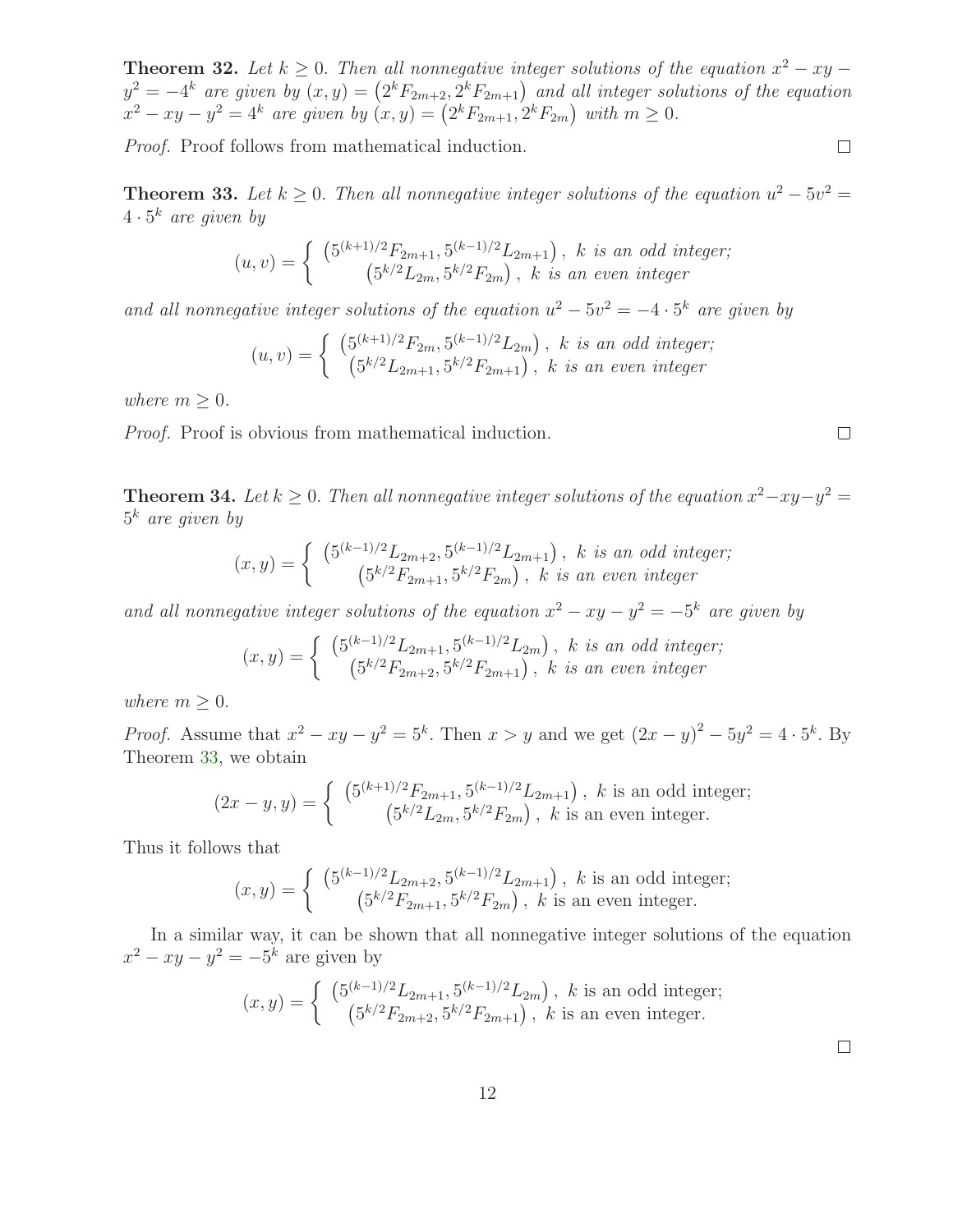**Theorem 32.** Let  $k \geq 0$ . Then all nonnegative integer solutions of the equation  $x^2 - xy$  $y^2 = -4^k$  are given by  $(x, y) = (2^k F_{2m+2}, 2^k F_{2m+1})$  and all integer solutions of the equation  $x^2 - xy - y^2 = 4^k$  are given by  $(x, y) = (2^k F_{2m+1}, 2^k F_{2m})$  with  $m \ge 0$ .

Proof. Proof follows from mathematical induction.

<span id="page-11-0"></span>**Theorem 33.** Let  $k \geq 0$ . Then all nonnegative integer solutions of the equation  $u^2 - 5v^2 =$  $4 \cdot 5^k$  are given by

$$
(u, v) = \begin{cases} (5^{(k+1)/2}F_{2m+1}, 5^{(k-1)/2}L_{2m+1}), & k \text{ is an odd integer;}\\ (5^{k/2}L_{2m}, 5^{k/2}F_{2m}), & k \text{ is an even integer} \end{cases}
$$

and all nonnegative integer solutions of the equation  $u^2 - 5v^2 = -4 \cdot 5^k$  are given by

$$
(u, v) = \begin{cases} (5^{(k+1)/2}F_{2m}, 5^{(k-1)/2}L_{2m}), \ k \ is \ an \ odd \ integer; \\ (5^{k/2}L_{2m+1}, 5^{k/2}F_{2m+1}), \ k \ is \ an \ even \ integer \end{cases}
$$

where  $m \geq 0$ .

Proof. Proof is obvious from mathematical induction.

**Theorem 34.** Let  $k \geq 0$ . Then all nonnegative integer solutions of the equation  $x^2 - xy - y^2 =$  $5^k$  are given by

$$
(x,y) = \begin{cases} (5^{(k-1)/2}L_{2m+2}, 5^{(k-1)/2}L_{2m+1}), & k \text{ is an odd integer;}\\ (5^{k/2}F_{2m+1}, 5^{k/2}F_{2m}), & k \text{ is an even integer} \end{cases}
$$

and all nonnegative integer solutions of the equation  $x^2 - xy - y^2 = -5^k$  are given by

$$
(x,y) = \begin{cases} (5^{(k-1)/2}L_{2m+1}, 5^{(k-1)/2}L_{2m}), & k \text{ is an odd integer;}\\ (5^{k/2}F_{2m+2}, 5^{k/2}F_{2m+1}), & k \text{ is an even integer} \end{cases}
$$

where  $m \geq 0$ .

*Proof.* Assume that  $x^2 - xy - y^2 = 5^k$ . Then  $x > y$  and we get  $(2x - y)^2 - 5y^2 = 4 \cdot 5^k$ . By Theorem [33,](#page-11-0) we obtain

$$
(2x - y, y) = \begin{cases} (5^{(k+1)/2}F_{2m+1}, 5^{(k-1)/2}L_{2m+1}), & k \text{ is an odd integer;}\\ (5^{k/2}L_{2m}, 5^{k/2}F_{2m}), & k \text{ is an even integer.} \end{cases}
$$

Thus it follows that

$$
(x,y) = \begin{cases} (5^{(k-1)/2}L_{2m+2}, 5^{(k-1)/2}L_{2m+1}), & k \text{ is an odd integer;}\\ (5^{k/2}F_{2m+1}, 5^{k/2}F_{2m}), & k \text{ is an even integer.} \end{cases}
$$

In a similar way, it can be shown that all nonnegative integer solutions of the equation  $x^2 - xy - y^2 = -5^k$  are given by

$$
(x,y) = \begin{cases} (5^{(k-1)/2}L_{2m+1}, 5^{(k-1)/2}L_{2m}), & k \text{ is an odd integer;}\\ (5^{k/2}F_{2m+2}, 5^{k/2}F_{2m+1}), & k \text{ is an even integer.} \end{cases}
$$

 $\Box$ 

 $\hfill \square$ 

 $\Box$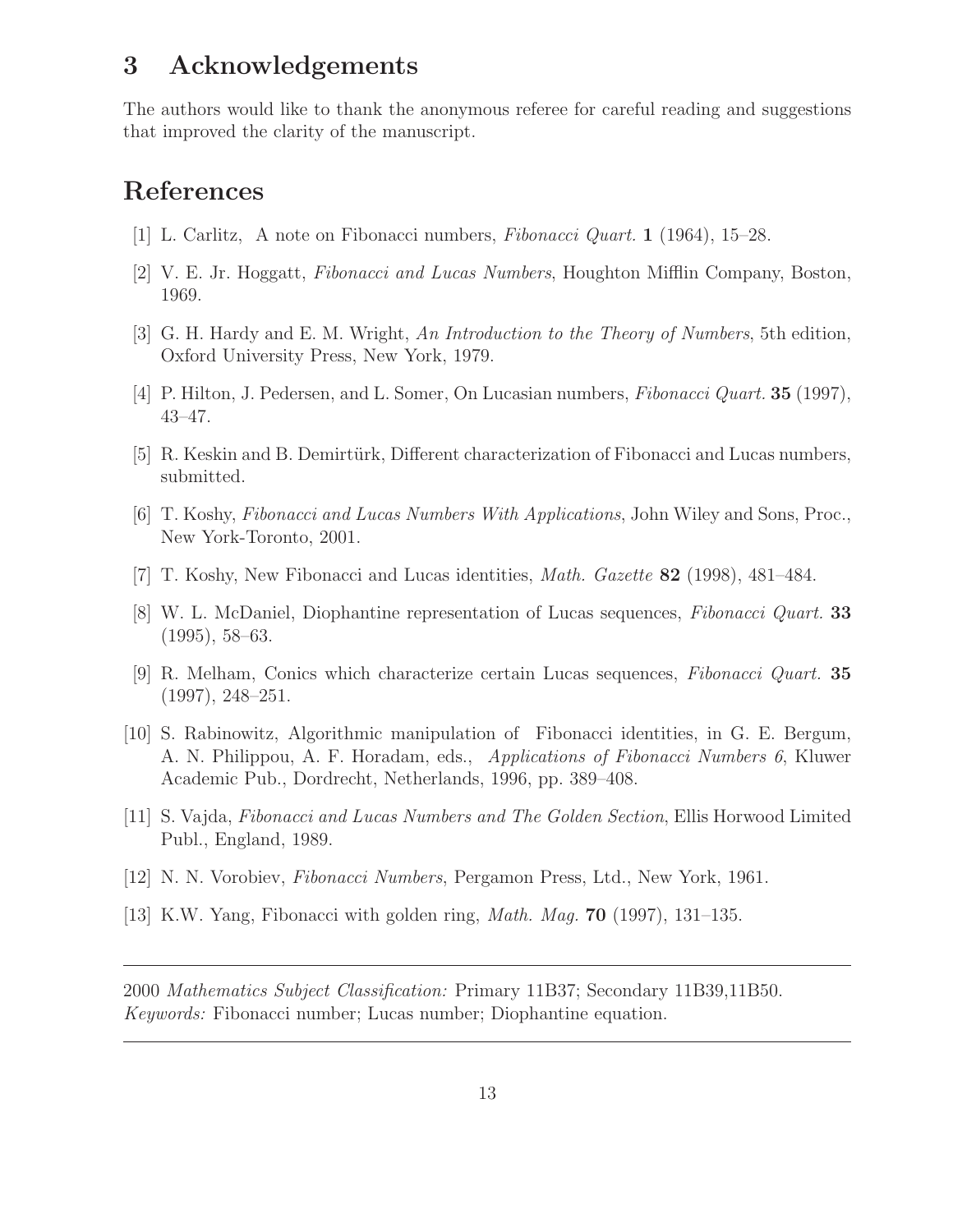### 3 Acknowledgements

The authors would like to thank the anonymous referee for careful reading and suggestions that improved the clarity of the manuscript.

## <span id="page-12-5"></span>References

- <span id="page-12-0"></span>[1] L. Carlitz, A note on Fibonacci numbers, Fibonacci Quart. 1 (1964), 15–28.
- <span id="page-12-4"></span>[2] V. E. Jr. Hoggatt, Fibonacci and Lucas Numbers, Houghton Mifflin Company, Boston, 1969.
- <span id="page-12-7"></span>[3] G. H. Hardy and E. M. Wright, An Introduction to the Theory of Numbers, 5th edition, Oxford University Press, New York, 1979.
- <span id="page-12-6"></span>[4] P. Hilton, J. Pedersen, and L. Somer, On Lucasian numbers, Fibonacci Quart. 35 (1997), 43–47.
- <span id="page-12-2"></span>[5] R. Keskin and B. Demirtürk, Different characterization of Fibonacci and Lucas numbers, submitted.
- [6] T. Koshy, Fibonacci and Lucas Numbers With Applications, John Wiley and Sons, Proc., New York-Toronto, 2001.
- [7] T. Koshy, New Fibonacci and Lucas identities, Math. Gazette 82 (1998), 481–484.
- [8] W. L. McDaniel, Diophantine representation of Lucas sequences, Fibonacci Quart. 33 (1995), 58–63.
- [9] R. Melham, Conics which characterize certain Lucas sequences, Fibonacci Quart. 35 (1997), 248–251.
- [10] S. Rabinowitz, Algorithmic manipulation of Fibonacci identities, in G. E. Bergum, A. N. Philippou, A. F. Horadam, eds., Applications of Fibonacci Numbers 6, Kluwer Academic Pub., Dordrecht, Netherlands, 1996, pp. 389–408.
- <span id="page-12-3"></span><span id="page-12-1"></span>[11] S. Vajda, Fibonacci and Lucas Numbers and The Golden Section, Ellis Horwood Limited Publ., England, 1989.
- [12] N. N. Vorobiev, Fibonacci Numbers, Pergamon Press, Ltd., New York, 1961.
- [13] K.W. Yang, Fibonacci with golden ring, Math. Mag. 70 (1997), 131–135.

2000 Mathematics Subject Classification: Primary 11B37; Secondary 11B39,11B50. Keywords: Fibonacci number; Lucas number; Diophantine equation.